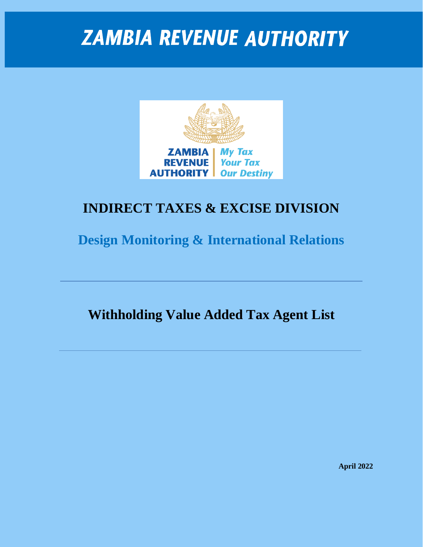

#### **INDIRECT TAXES & EXCISE DIVISION**

**Design Monitoring & International Relations**

**Withholding Value Added Tax Agent List**

**April 2022**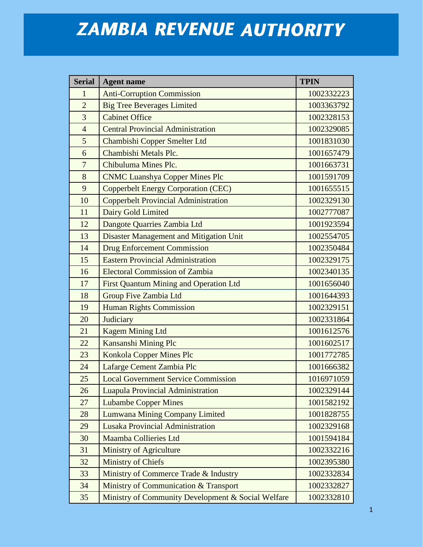| <b>Serial</b>  | <b>Agent name</b>                                  | <b>TPIN</b> |
|----------------|----------------------------------------------------|-------------|
| $\mathbf{1}$   | <b>Anti-Corruption Commission</b>                  | 1002332223  |
| $\overline{2}$ | <b>Big Tree Beverages Limited</b>                  | 1003363792  |
| 3              | <b>Cabinet Office</b>                              | 1002328153  |
| $\overline{4}$ | <b>Central Provincial Administration</b>           | 1002329085  |
| 5              | Chambishi Copper Smelter Ltd                       | 1001831030  |
| 6              | Chambishi Metals Plc.                              | 1001657479  |
| $\overline{7}$ | Chibuluma Mines Plc.                               | 1001663731  |
| 8              | <b>CNMC Luanshya Copper Mines Plc</b>              | 1001591709  |
| 9              | <b>Copperbelt Energy Corporation (CEC)</b>         | 1001655515  |
| 10             | <b>Copperbelt Provincial Administration</b>        | 1002329130  |
| 11             | Dairy Gold Limited                                 | 1002777087  |
| 12             | Dangote Quarries Zambia Ltd                        | 1001923594  |
| 13             | Disaster Management and Mitigation Unit            | 1002554705  |
| 14             | <b>Drug Enforcement Commission</b>                 | 1002350484  |
| 15             | <b>Eastern Provincial Administration</b>           | 1002329175  |
| 16             | <b>Electoral Commission of Zambia</b>              | 1002340135  |
| 17             | <b>First Quantum Mining and Operation Ltd</b>      | 1001656040  |
| 18             | <b>Group Five Zambia Ltd</b>                       | 1001644393  |
| 19             | <b>Human Rights Commission</b>                     | 1002329151  |
| 20             | Judiciary                                          | 1002331864  |
| 21             | <b>Kagem Mining Ltd</b>                            | 1001612576  |
| 22             | Kansanshi Mining Plc                               | 1001602517  |
| 23             | <b>Konkola Copper Mines Plc</b>                    | 1001772785  |
| 24             | Lafarge Cement Zambia Plc                          | 1001666382  |
| 25             | <b>Local Government Service Commission</b>         | 1016971059  |
| 26             | <b>Luapula Provincial Administration</b>           | 1002329144  |
| 27             | <b>Lubambe Copper Mines</b>                        | 1001582192  |
| 28             | <b>Lumwana Mining Company Limited</b>              | 1001828755  |
| 29             | <b>Lusaka Provincial Administration</b>            | 1002329168  |
| 30             | <b>Maamba Collieries Ltd</b>                       | 1001594184  |
| 31             | <b>Ministry of Agriculture</b>                     | 1002332216  |
| 32             | <b>Ministry of Chiefs</b>                          | 1002395380  |
| 33             | Ministry of Commerce Trade & Industry              | 1002332834  |
| 34             | Ministry of Communication & Transport              | 1002332827  |
| 35             | Ministry of Community Development & Social Welfare | 1002332810  |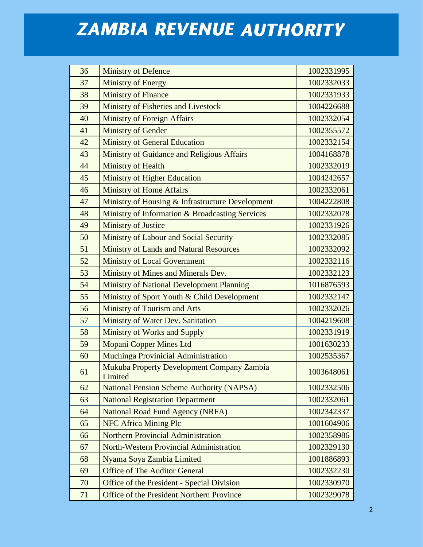| 36 | <b>Ministry of Defence</b>                            | 1002331995 |
|----|-------------------------------------------------------|------------|
| 37 | <b>Ministry of Energy</b>                             | 1002332033 |
| 38 | <b>Ministry of Finance</b>                            | 1002331933 |
| 39 | Ministry of Fisheries and Livestock                   | 1004226688 |
| 40 | <b>Ministry of Foreign Affairs</b>                    | 1002332054 |
| 41 | <b>Ministry of Gender</b>                             | 1002355572 |
| 42 | <b>Ministry of General Education</b>                  | 1002332154 |
| 43 | Ministry of Guidance and Religious Affairs            | 1004168878 |
| 44 | Ministry of Health                                    | 1002332019 |
| 45 | <b>Ministry of Higher Education</b>                   | 1004242657 |
| 46 | <b>Ministry of Home Affairs</b>                       | 1002332061 |
| 47 | Ministry of Housing & Infrastructure Development      | 1004222808 |
| 48 | Ministry of Information & Broadcasting Services       | 1002332078 |
| 49 | <b>Ministry of Justice</b>                            | 1002331926 |
| 50 | Ministry of Labour and Social Security                | 1002332085 |
| 51 | <b>Ministry of Lands and Natural Resources</b>        | 1002332092 |
| 52 | <b>Ministry of Local Government</b>                   | 1002332116 |
| 53 | Ministry of Mines and Minerals Dev.                   | 1002332123 |
| 54 | <b>Ministry of National Development Planning</b>      | 1016876593 |
| 55 | Ministry of Sport Youth & Child Development           | 1002332147 |
| 56 | Ministry of Tourism and Arts                          | 1002332026 |
| 57 | Ministry of Water Dev. Sanitation                     | 1004219608 |
| 58 | <b>Ministry of Works and Supply</b>                   | 1002331919 |
| 59 | <b>Mopani Copper Mines Ltd</b>                        | 1001630233 |
| 60 | Muchinga Provinicial Administration                   | 1002535367 |
| 61 | Mukuba Property Development Company Zambia<br>Limited | 1003648061 |
| 62 | <b>National Pension Scheme Authority (NAPSA)</b>      | 1002332506 |
| 63 | <b>National Registration Department</b>               | 1002332061 |
| 64 | <b>National Road Fund Agency (NRFA)</b>               | 1002342337 |
| 65 | <b>NFC Africa Mining Plc</b>                          | 1001604906 |
| 66 | <b>Northern Provincial Administration</b>             | 1002358986 |
| 67 | <b>North-Western Provincial Administration</b>        | 1002329130 |
| 68 | Nyama Soya Zambia Limited                             | 1001886893 |
| 69 | <b>Office of The Auditor General</b>                  | 1002332230 |
| 70 | Office of the President - Special Division            | 1002330970 |
| 71 | Office of the President Northern Province             | 1002329078 |